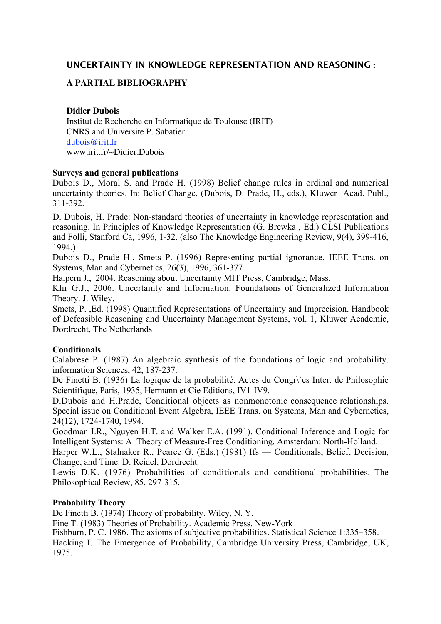# **UNCERTAINTY IN KNOWLEDGE REPRESENTATION AND REASONING :**

# **A PARTIAL BIBLIOGRAPHY**

### **Didier Dubois**

Institut de Recherche en Informatique de Toulouse (IRIT) CNRS and Universite P. Sabatier dubois@irit.fr www.irit.fr/~Didier.Dubois

### **Surveys and general publications**

Dubois D., Moral S. and Prade H. (1998) Belief change rules in ordinal and numerical uncertainty theories. In: Belief Change, (Dubois, D. Prade, H., eds.), Kluwer Acad. Publ., 311-392.

D. Dubois, H. Prade: Non-standard theories of uncertainty in knowledge representation and reasoning. In Principles of Knowledge Representation (G. Brewka , Ed.) CLSI Publications and Folli, Stanford Ca, 1996, 1-32. (also The Knowledge Engineering Review, 9(4), 399-416, 1994.)

Dubois D., Prade H., Smets P. (1996) Representing partial ignorance, IEEE Trans. on Systems, Man and Cybernetics, 26(3), 1996, 361-377

Halpern J., 2004. Reasoning about Uncertainty MIT Press, Cambridge, Mass.

Klir G.J., 2006. Uncertainty and Information. Foundations of Generalized Information Theory. J. Wiley.

Smets, P. ,Ed. (1998) Quantified Representations of Uncertainty and Imprecision. Handbook of Defeasible Reasoning and Uncertainty Management Systems, vol. 1, Kluwer Academic, Dordrecht, The Netherlands

### **Conditionals**

Calabrese P. (1987) An algebraic synthesis of the foundations of logic and probability. information Sciences, 42, 187-237.

De Finetti B. (1936) La logique de la probabilité. Actes du Congr\`es Inter. de Philosophie Scientifique, Paris, 1935, Hermann et Cie Editions, IV1-IV9.

D.Dubois and H.Prade, Conditional objects as nonmonotonic consequence relationships. Special issue on Conditional Event Algebra, IEEE Trans. on Systems, Man and Cybernetics, 24(12), 1724-1740, 1994.

Goodman I.R., Nguyen H.T. and Walker E.A. (1991). Conditional Inference and Logic for Intelligent Systems: A Theory of Measure-Free Conditioning. Amsterdam: North-Holland.

Harper W.L., Stalnaker R., Pearce G. (Eds.) (1981) Ifs — Conditionals, Belief, Decision, Change, and Time. D. Reidel, Dordrecht.

Lewis D.K. (1976) Probabilities of conditionals and conditional probabilities. The Philosophical Review, 85, 297-315.

### **Probability Theory**

De Finetti B. (1974) Theory of probability. Wiley, N. Y.

Fine T. (1983) Theories of Probability. Academic Press, New-York

Fishburn, P. C. 1986. The axioms of subjective probabilities. Statistical Science 1:335–358.

Hacking I. The Emergence of Probability, Cambridge University Press, Cambridge, UK, 1975.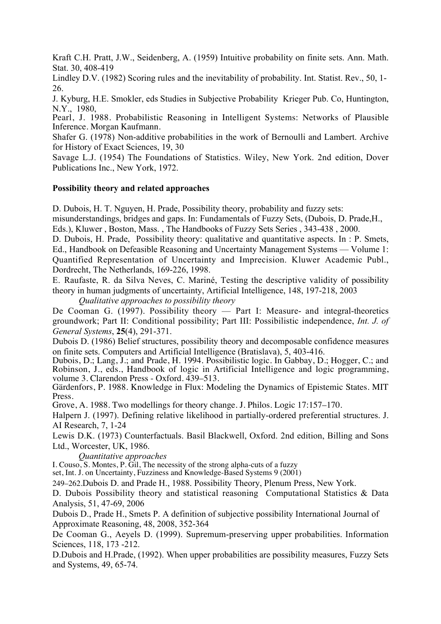Kraft C.H. Pratt, J.W., Seidenberg, A. (1959) Intuitive probability on finite sets. Ann. Math. Stat. 30, 408-419

Lindley D.V. (1982) Scoring rules and the inevitability of probability. Int. Statist. Rev., 50, 1- 26.

J. Kyburg, H.E. Smokler, eds Studies in Subjective Probability Krieger Pub. Co, Huntington, N.Y., 1980,

Pearl, J. 1988. Probabilistic Reasoning in Intelligent Systems: Networks of Plausible Inference. Morgan Kaufmann.

Shafer G. (1978) Non-additive probabilities in the work of Bernoulli and Lambert. Archive for History of Exact Sciences, 19, 30

Savage L.J. (1954) The Foundations of Statistics. Wiley, New York. 2nd edition, Dover Publications Inc., New York, 1972.

### **Possibility theory and related approaches**

D. Dubois, H. T. Nguyen, H. Prade, Possibility theory, probability and fuzzy sets: misunderstandings, bridges and gaps. In: Fundamentals of Fuzzy Sets, (Dubois, D. Prade,H., Eds.), Kluwer , Boston, Mass. , The Handbooks of Fuzzy Sets Series , 343-438 , 2000.

D. Dubois, H. Prade, Possibility theory: qualitative and quantitative aspects. In : P. Smets, Ed., Handbook on Defeasible Reasoning and Uncertainty Management Systems — Volume 1: Quantified Representation of Uncertainty and Imprecision. Kluwer Academic Publ., Dordrecht, The Netherlands, 169-226, 1998.

E. Raufaste, R. da Silva Neves, C. Mariné, Testing the descriptive validity of possibility theory in human judgments of uncertainty, Artificial Intelligence, 148, 197-218, 2003

*Qualitative approaches to possibility theory*

De Cooman G. (1997). Possibility theory — Part I: Measure- and integral-theoretics groundwork; Part II: Conditional possibility; Part III: Possibilistic independence, *Int. J. of General Systems*, **25**(4), 291-371.

Dubois D. (1986) Belief structures, possibility theory and decomposable confidence measures on finite sets. Computers and Artificial Intelligence (Bratislava), 5, 403-416.

Dubois, D.; Lang, J.; and Prade, H. 1994. Possibilistic logic. In Gabbay, D.; Hogger, C.; and Robinson, J., eds., Handbook of logic in Artificial Intelligence and logic programming, volume 3. Clarendon Press - Oxford. 439–513.

Gärdenfors, P. 1988. Knowledge in Flux: Modeling the Dynamics of Epistemic States. MIT Press.

Grove, A. 1988. Two modellings for theory change. J. Philos. Logic 17:157–170.

Halpern J. (1997). Defining relative likelihood in partially-ordered preferential structures. J. AI Research, 7, 1-24

Lewis D.K. (1973) Counterfactuals. Basil Blackwell, Oxford. 2nd edition, Billing and Sons Ltd., Worcester, UK, 1986.

*Quantitative approaches*

I. Couso, S. Montes, P. Gil, The necessity of the strong alpha-cuts of a fuzzy

set, Int. J. on Uncertainty, Fuzziness and Knowledge-Based Systems 9 (2001)

249–262.Dubois D. and Prade H., 1988. Possibility Theory, Plenum Press, New York.

D. Dubois Possibility theory and statistical reasoning Computational Statistics & Data Analysis, 51, 47-69, 2006

Dubois D., Prade H., Smets P. A definition of subjective possibility International Journal of Approximate Reasoning, 48, 2008, 352-364

De Cooman G., Aeyels D. (1999). Supremum-preserving upper probabilities. Information Sciences, 118, 173 -212.

D.Dubois and H.Prade, (1992). When upper probabilities are possibility measures, Fuzzy Sets and Systems, 49, 65-74.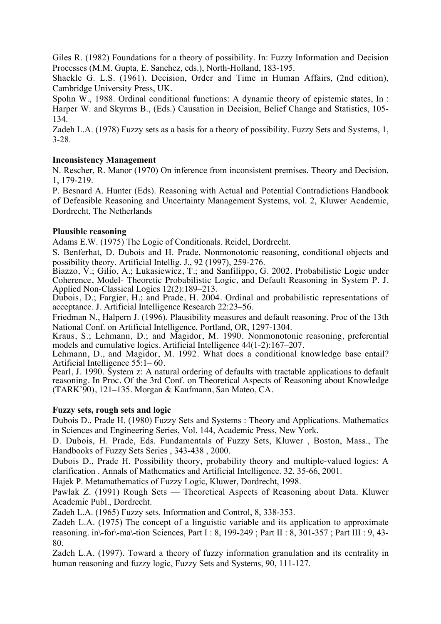Giles R. (1982) Foundations for a theory of possibility. In: Fuzzy Information and Decision Processes (M.M. Gupta, E. Sanchez, eds.), North-Holland, 183-195.

Shackle G. L.S. (1961). Decision, Order and Time in Human Affairs, (2nd edition), Cambridge University Press, UK.

Spohn W., 1988. Ordinal conditional functions: A dynamic theory of epistemic states, In : Harper W. and Skyrms B., (Eds.) Causation in Decision, Belief Change and Statistics, 105- 134.

Zadeh L.A. (1978) Fuzzy sets as a basis for a theory of possibility. Fuzzy Sets and Systems, 1, 3-28.

## **Inconsistency Management**

N. Rescher, R. Manor (1970) On inference from inconsistent premises. Theory and Decision, 1, 179-219.

P. Besnard A. Hunter (Eds). Reasoning with Actual and Potential Contradictions Handbook of Defeasible Reasoning and Uncertainty Management Systems, vol. 2, Kluwer Academic, Dordrecht, The Netherlands

## **Plausible reasoning**

Adams E.W. (1975) The Logic of Conditionals. Reidel, Dordrecht.

S. Benferhat, D. Dubois and H. Prade, Nonmonotonic reasoning, conditional objects and possibility theory. Artificial Intellig. J., 92 (1997), 259-276.

Biazzo, V.; Gilio, A.; Lukasiewicz, T.; and Sanfilippo, G. 2002. Probabilistic Logic under Coherence, Model- Theoretic Probabilistic Logic, and Default Reasoning in System P. J. Applied Non-Classical Logics 12(2):189–213.

Dubois, D.; Fargier, H.; and Prade, H. 2004. Ordinal and probabilistic representations of acceptance. J. Artificial Intelligence Research 22:23–56.

Friedman N., Halpern J. (1996). Plausibility measures and default reasoning. Proc of the 13th National Conf. on Artificial Intelligence, Portland, OR, 1297-1304.

Kraus, S.; Lehmann, D.; and Magidor, M. 1990. Nonmonotonic reasoning, preferential models and cumulative logics. Artificial Intelligence 44(1-2):167–207.

Lehmann, D., and Magidor, M. 1992. What does a conditional knowledge base entail? Artificial Intelligence 55:1– 60.

Pearl, J. 1990. System z: A natural ordering of defaults with tractable applications to default reasoning. In Proc. Of the 3rd Conf. on Theoretical Aspects of Reasoning about Knowledge (TARK'90), 121–135. Morgan & Kaufmann, San Mateo, CA.

## **Fuzzy sets, rough sets and logic**

Dubois D., Prade H. (1980) Fuzzy Sets and Systems : Theory and Applications. Mathematics in Sciences and Engineering Series, Vol. 144, Academic Press, New York.

D. Dubois, H. Prade, Eds. Fundamentals of Fuzzy Sets, Kluwer , Boston, Mass., The Handbooks of Fuzzy Sets Series , 343-438 , 2000.

Dubois D., Prade H. Possibility theory, probability theory and multiple-valued logics: A clarification . Annals of Mathematics and Artificial Intelligence. 32, 35-66, 2001.

Hajek P. Metamathematics of Fuzzy Logic, Kluwer, Dordrecht, 1998.

Pawlak Z. (1991) Rough Sets — Theoretical Aspects of Reasoning about Data. Kluwer Academic Publ., Dordrecht.

Zadeh L.A. (1965) Fuzzy sets. Information and Control, 8, 338-353.

Zadeh L.A. (1975) The concept of a linguistic variable and its application to approximate reasoning. in\-for\-ma\-tion Sciences, Part I : 8, 199-249 ; Part II : 8, 301-357 ; Part III : 9, 43- 80.

Zadeh L.A. (1997). Toward a theory of fuzzy information granulation and its centrality in human reasoning and fuzzy logic, Fuzzy Sets and Systems, 90, 111-127.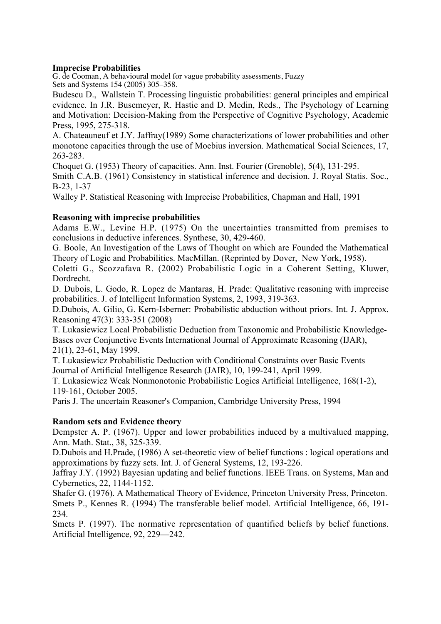### **Imprecise Probabilities**

G. de Cooman, A behavioural model for vague probability assessments, Fuzzy Sets and Systems 154 (2005) 305–358.

Budescu D., Wallstein T. Processing linguistic probabilities: general principles and empirical evidence. In J.R. Busemeyer, R. Hastie and D. Medin, Reds., The Psychology of Learning and Motivation: Decision-Making from the Perspective of Cognitive Psychology, Academic Press, 1995, 275-318.

A. Chateauneuf et J.Y. Jaffray(1989) Some characterizations of lower probabilities and other monotone capacities through the use of Moebius inversion. Mathematical Social Sciences, 17, 263-283.

Choquet G. (1953) Theory of capacities. Ann. Inst. Fourier (Grenoble), 5(4), 131-295.

Smith C.A.B. (1961) Consistency in statistical inference and decision. J. Royal Statis. Soc., B-23, 1-37

Walley P. Statistical Reasoning with Imprecise Probabilities, Chapman and Hall, 1991

## **Reasoning with imprecise probabilities**

Adams E.W., Levine H.P. (1975) On the uncertainties transmitted from premises to conclusions in deductive inferences. Synthese, 30, 429-460.

G. Boole, An Investigation of the Laws of Thought on which are Founded the Mathematical Theory of Logic and Probabilities. MacMillan. (Reprinted by Dover, New York, 1958).

Coletti G., Scozzafava R. (2002) Probabilistic Logic in a Coherent Setting, Kluwer, Dordrecht.

D. Dubois, L. Godo, R. Lopez de Mantaras, H. Prade: Qualitative reasoning with imprecise probabilities. J. of Intelligent Information Systems, 2, 1993, 319-363.

D.Dubois, A. Gilio, G. Kern-Isberner: Probabilistic abduction without priors. Int. J. Approx. Reasoning 47(3): 333-351 (2008)

T. Lukasiewicz Local Probabilistic Deduction from Taxonomic and Probabilistic Knowledge-Bases over Conjunctive Events International Journal of Approximate Reasoning (IJAR), 21(1), 23-61, May 1999.

T. Lukasiewicz Probabilistic Deduction with Conditional Constraints over Basic Events Journal of Artificial Intelligence Research (JAIR), 10, 199-241, April 1999.

T. Lukasiewicz Weak Nonmonotonic Probabilistic Logics Artificial Intelligence, 168(1-2), 119-161, October 2005.

Paris J. The uncertain Reasoner's Companion, Cambridge University Press, 1994

## **Random sets and Evidence theory**

Dempster A. P. (1967). Upper and lower probabilities induced by a multivalued mapping, Ann. Math. Stat., 38, 325-339.

D.Dubois and H.Prade, (1986) A set-theoretic view of belief functions : logical operations and approximations by fuzzy sets. Int. J. of General Systems, 12, 193-226.

Jaffray J.Y. (1992) Bayesian updating and belief functions. IEEE Trans. on Systems, Man and Cybernetics, 22, 1144-1152.

Shafer G. (1976). A Mathematical Theory of Evidence, Princeton University Press, Princeton. Smets P., Kennes R. (1994) The transferable belief model. Artificial Intelligence, 66, 191- 234.

Smets P. (1997). The normative representation of quantified beliefs by belief functions. Artificial Intelligence, 92, 229—242.